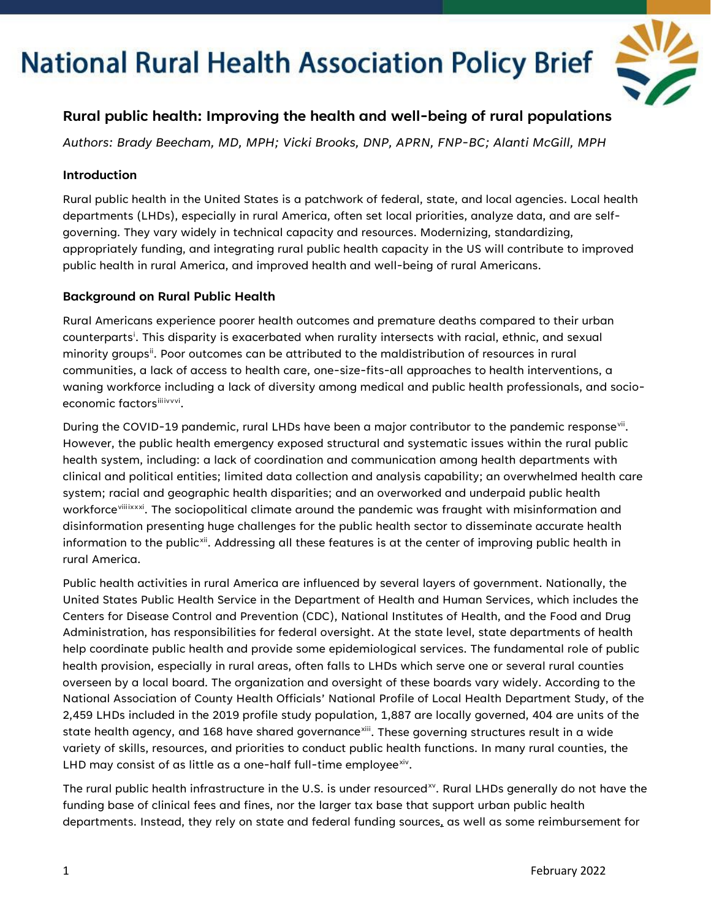

### **Rural public health: Improving the health and well-being of rural populations**

*Authors: Brady Beecham, MD, MPH; Vicki Brooks, DNP, APRN, FNP-BC; Alanti McGill, MPH* 

#### **Introduction**

Rural public health in the United States is a patchwork of federal, state, and local agencies. Local health departments (LHDs), especially in rural America, often set local priorities, analyze data, and are selfgoverning. They vary widely in technical capacity and resources. Modernizing, standardizing, appropriately funding, and integrating rural public health capacity in the US will contribute to improved public health in rural America, and improved health and well-being of rural Americans.

#### **Background on Rural Public Health**

Rural Americans experience poorer health outcomes and premature deaths compared to their urban counterparts<sup>[i](#page-2-0)</sup>. This disparity is exacerbated when rurality intersects with racial, ethnic, and sexual minority groups<sup>[ii](#page-2-1)</sup>. Poor outcomes can be attributed to the maldistribution of resources in rural communities, a lack of access to health care, one-size-fits-all approaches to health interventions, a waning workforce including a lack of diversity among medical and public health professionals, and socioeconomic factorsili[iv](#page-2-3)[v](#page-2-4)[vi](#page-3-0).

During the COVID-19 pandemic, rural LHDs have been a major contributor to the pandemic response<sup>[vii](#page-3-1)</sup>. However, the public health emergency exposed structural and systematic issues within the rural public health system, including: a lack of coordination and communication among health departments with clinical and political entities; limited data collection and analysis capability; an overwhelmed health care system; racial and geographic health disparities; and an overworked and underpaid public health workforce<sup>[viii](#page-3-2)[ix](#page-3-3)[x](#page-3-4)[xi](#page-3-5)</sup>. The sociopolitical climate around the pandemic was fraught with misinformation and disinformation presenting huge challenges for the public health sector to disseminate accurate health information to the public<sup>xii</sup>. Addressing all these features is at the center of improving public health in rural America.

Public health activities in rural America are influenced by several layers of government. Nationally, the United States Public Health Service in the Department of Health and Human Services, which includes the Centers for Disease Control and Prevention (CDC), National Institutes of Health, and the Food and Drug Administration, has responsibilities for federal oversight. At the state level, state departments of health help coordinate public health and provide some epidemiological services. The fundamental role of public health provision, especially in rural areas, often falls to LHDs which serve one or several rural counties overseen by a local board. The organization and oversight of these boards vary widely. According to the National Association of County Health Officials' National Profile of Local Health Department Study, of the 2,459 LHDs included in the 2019 profile study population, 1,887 are locally governed, 404 are units of the state health agency, and 168 have shared governance<sup>[xiii](#page-3-7)</sup>. These governing structures result in a wide variety of skills, resources, and priorities to conduct public health functions. In many rural counties, the LHD may consist of as little as a one-half full-time employee $x^i$ .

The rural public health infrastructure in the U.S. is under resourced<sup>[xv](#page-3-9)</sup>. Rural LHDs generally do not have the funding base of clinical fees and fines, nor the larger tax base that support urban public health departments. Instead, they rely on state and federal funding sources, as well as some reimbursement for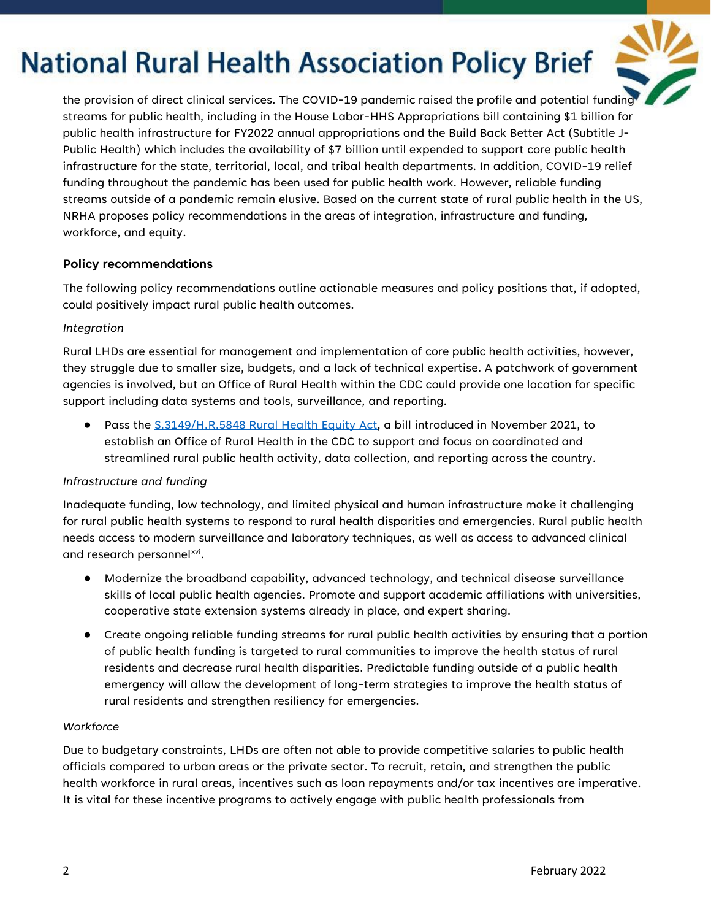

the provision of direct clinical services. The COVID-19 pandemic raised the profile and potential funding streams for public health, including in the House Labor-HHS Appropriations bill containing \$1 billion for public health infrastructure for FY2022 annual appropriations and the Build Back Better Act (Subtitle J-Public Health) which includes the availability of \$7 billion until expended to support core public health infrastructure for the state, territorial, local, and tribal health departments. In addition, COVID-19 relief funding throughout the pandemic has been used for public health work. However, reliable funding streams outside of a pandemic remain elusive. Based on the current state of rural public health in the US, NRHA proposes policy recommendations in the areas of integration, infrastructure and funding, workforce, and equity.

#### **Policy recommendations**

The following policy recommendations outline actionable measures and policy positions that, if adopted, could positively impact rural public health outcomes.

#### *Integration*

Rural LHDs are essential for management and implementation of core public health activities, however, they struggle due to smaller size, budgets, and a lack of technical expertise. A patchwork of government agencies is involved, but an Office of Rural Health within the CDC could provide one location for specific support including data systems and tools, surveillance, and reporting.

● Pass the S.3149/H.R.5848 [Rural Health Equity Act,](https://www.congress.gov/bill/117th-congress/senate-bill/3149?s=1&r=18) a bill introduced in November 2021, to establish an Office of Rural Health in the CDC to support and focus on coordinated and streamlined rural public health activity, data collection, and reporting across the country.

#### *Infrastructure and funding*

Inadequate funding, low technology, and limited physical and human infrastructure make it challenging for rural public health systems to respond to rural health disparities and emergencies. Rural public health needs access to modern surveillance and laboratory techniques, as well as access to advanced clinical and research personnel[xvi.](#page-3-10)

- Modernize the broadband capability, advanced technology, and technical disease surveillance skills of local public health agencies. Promote and support academic affiliations with universities, cooperative state extension systems already in place, and expert sharing.
- Create ongoing reliable funding streams for rural public health activities by ensuring that a portion of public health funding is targeted to rural communities to improve the health status of rural residents and decrease rural health disparities. Predictable funding outside of a public health emergency will allow the development of long-term strategies to improve the health status of rural residents and strengthen resiliency for emergencies.

#### *Workforce*

Due to budgetary constraints, LHDs are often not able to provide competitive salaries to public health officials compared to urban areas or the private sector. To recruit, retain, and strengthen the public health workforce in rural areas, incentives such as loan repayments and/or tax incentives are imperative. It is vital for these incentive programs to actively engage with public health professionals from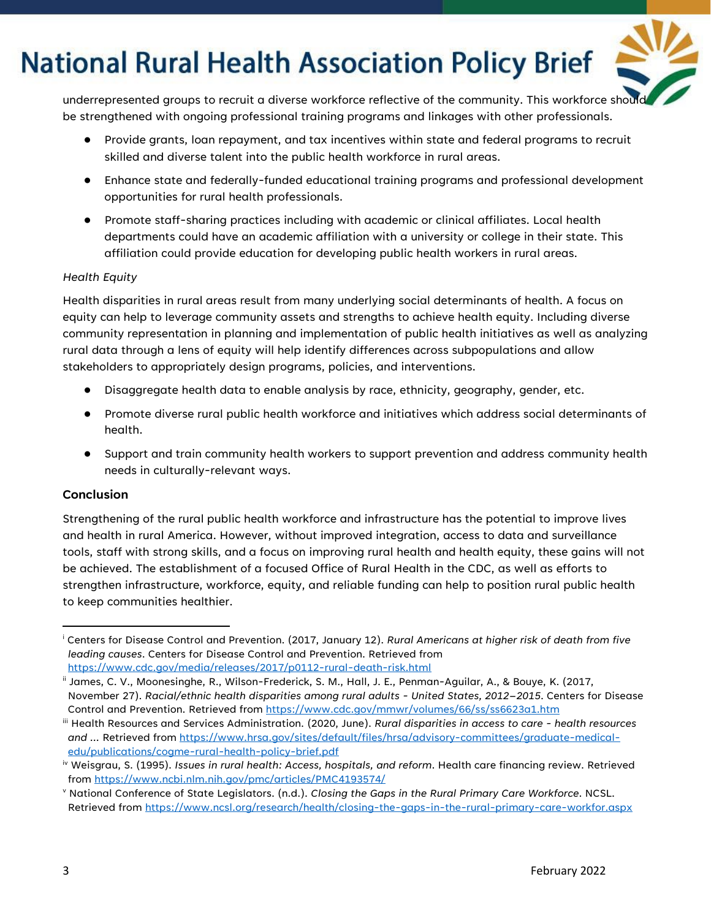

underrepresented groups to recruit a diverse workforce reflective of the community. This workforce should be strengthened with ongoing professional training programs and linkages with other professionals.

- Provide grants, loan repayment, and tax incentives within state and federal programs to recruit skilled and diverse talent into the public health workforce in rural areas.
- Enhance state and federally-funded educational training programs and professional development opportunities for rural health professionals.
- Promote staff-sharing practices including with academic or clinical affiliates. Local health departments could have an academic affiliation with a university or college in their state. This affiliation could provide education for developing public health workers in rural areas.

#### *Health Equity*

Health disparities in rural areas result from many underlying social determinants of health. A focus on equity can help to leverage community assets and strengths to achieve health equity. Including diverse community representation in planning and implementation of public health initiatives as well as analyzing rural data through a lens of equity will help identify differences across subpopulations and allow stakeholders to appropriately design programs, policies, and interventions.

- Disaggregate health data to enable analysis by race, ethnicity, geography, gender, etc.
- Promote diverse rural public health workforce and initiatives which address social determinants of health.
- Support and train community health workers to support prevention and address community health needs in culturally-relevant ways.

#### **Conclusion**

Strengthening of the rural public health workforce and infrastructure has the potential to improve lives and health in rural America. However, without improved integration, access to data and surveillance tools, staff with strong skills, and a focus on improving rural health and health equity, these gains will not be achieved. The establishment of a focused Office of Rural Health in the CDC, as well as efforts to strengthen infrastructure, workforce, equity, and reliable funding can help to position rural public health to keep communities healthier.

<span id="page-2-0"></span><sup>i</sup> Centers for Disease Control and Prevention. (2017, January 12). *Rural Americans at higher risk of death from five leading causes*. Centers for Disease Control and Prevention. Retrieved from <https://www.cdc.gov/media/releases/2017/p0112-rural-death-risk.html>

<span id="page-2-1"></span>ii James, C. V., Moonesinghe, R., Wilson-Frederick, S. M., Hall, J. E., Penman-Aguilar, A., & Bouye, K. (2017, November 27). *Racial/ethnic health disparities among rural adults - United States, 2012–2015*. Centers for Disease Control and Prevention. Retrieved from<https://www.cdc.gov/mmwr/volumes/66/ss/ss6623a1.htm>

<span id="page-2-2"></span>iii Health Resources and Services Administration. (2020, June). *Rural disparities in access to care - health resources and ...* Retrieved fro[m https://www.hrsa.gov/sites/default/files/hrsa/advisory-committees/graduate-medical](https://www.hrsa.gov/sites/default/files/hrsa/advisory-committees/graduate-medical-edu/publications/cogme-rural-health-policy-brief.pdf)[edu/publications/cogme-rural-health-policy-brief.pdf](https://www.hrsa.gov/sites/default/files/hrsa/advisory-committees/graduate-medical-edu/publications/cogme-rural-health-policy-brief.pdf)

<span id="page-2-3"></span>iv Weisgrau, S. (1995). *Issues in rural health: Access, hospitals, and reform*. Health care financing review. Retrieved from<https://www.ncbi.nlm.nih.gov/pmc/articles/PMC4193574/>

<span id="page-2-4"></span><sup>v</sup> National Conference of State Legislators. (n.d.). *Closing the Gaps in the Rural Primary Care Workforce*. NCSL. Retrieved from<https://www.ncsl.org/research/health/closing-the-gaps-in-the-rural-primary-care-workfor.aspx>